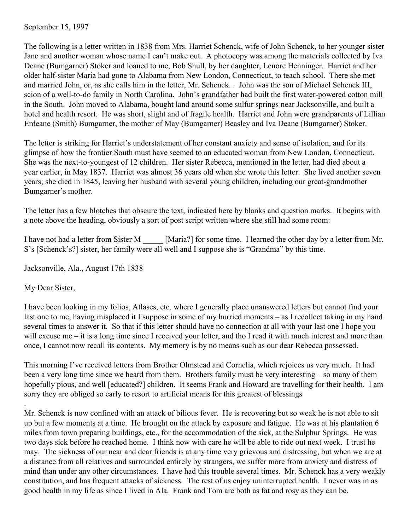September 15, 1997

The following is a letter written in 1838 from Mrs. Harriet Schenck, wife of John Schenck, to her younger sister Jane and another woman whose name I can't make out. A photocopy was among the materials collected by Iva Deane (Bumgarner) Stoker and loaned to me, Bob Shull, by her daughter, Lenore Henninger. Harriet and her older half-sister Maria had gone to Alabama from New London, Connecticut, to teach school. There she met and married John, or, as she calls him in the letter, Mr. Schenck. . John was the son of Michael Schenck III, scion of a well-to-do family in North Carolina. John's grandfather had built the first water-powered cotton mill in the South. John moved to Alabama, bought land around some sulfur springs near Jacksonville, and built a hotel and health resort. He was short, slight and of fragile health. Harriet and John were grandparents of Lillian Erdeane (Smith) Bumgarner, the mother of May (Bumgarner) Beasley and Iva Deane (Bumgarner) Stoker.

The letter is striking for Harriet's understatement of her constant anxiety and sense of isolation, and for its glimpse of how the frontier South must have seemed to an educated woman from New London, Connecticut. She was the next-to-youngest of 12 children. Her sister Rebecca, mentioned in the letter, had died about a year earlier, in May 1837. Harriet was almost 36 years old when she wrote this letter. She lived another seven years; she died in 1845, leaving her husband with several young children, including our great-grandmother Bumgarner's mother.

The letter has a few blotches that obscure the text, indicated here by blanks and question marks. It begins with a note above the heading, obviously a sort of post script written where she still had some room:

I have not had a letter from Sister M [Maria?] for some time. I learned the other day by a letter from Mr. S's [Schenck's?] sister, her family were all well and I suppose she is "Grandma" by this time.

Jacksonville, Ala., August 17th 1838

My Dear Sister,

.

I have been looking in my folios, Atlases, etc. where I generally place unanswered letters but cannot find your last one to me, having misplaced it I suppose in some of my hurried moments – as I recollect taking in my hand several times to answer it. So that if this letter should have no connection at all with your last one I hope you will excuse me – it is a long time since I received your letter, and tho I read it with much interest and more than once, I cannot now recall its contents. My memory is by no means such as our dear Rebecca possessed.

This morning I've received letters from Brother Olmstead and Cornelia, which rejoices us very much. It had been a very long time since we heard from them. Brothers family must be very interesting – so many of them hopefully pious, and well [educated?] children. It seems Frank and Howard are travelling for their health. I am sorry they are obliged so early to resort to artificial means for this greatest of blessings

Mr. Schenck is now confined with an attack of bilious fever. He is recovering but so weak he is not able to sit up but a few moments at a time. He brought on the attack by exposure and fatigue. He was at his plantation 6 miles from town preparing buildings, etc., for the accommodation of the sick, at the Sulphur Springs. He was two days sick before he reached home. I think now with care he will be able to ride out next week. I trust he may. The sickness of our near and dear friends is at any time very grievous and distressing, but when we are at a distance from all relatives and surrounded entirely by strangers, we suffer more from anxiety and distress of mind than under any other circumstances. I have had this trouble several times. Mr. Schenck has a very weakly constitution, and has frequent attacks of sickness. The rest of us enjoy uninterrupted health. I never was in as good health in my life as since I lived in Ala. Frank and Tom are both as fat and rosy as they can be.